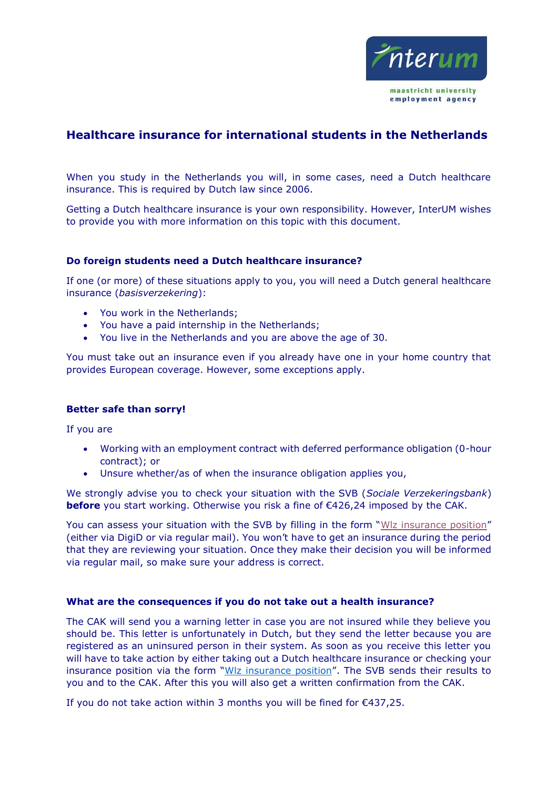

# **Healthcare insurance for international students in the Netherlands**

When you study in the Netherlands you will, in some cases, need a Dutch healthcare insurance. This is required by Dutch law since 2006.

Getting a Dutch healthcare insurance is your own responsibility. However, InterUM wishes to provide you with more information on this topic with this document.

### **Do foreign students need a Dutch healthcare insurance?**

If one (or more) of these situations apply to you, you will need a Dutch general healthcare insurance (*basisverzekering*):

- You work in the Netherlands;
- You have a paid internship in the Netherlands;
- You live in the Netherlands and you are above the age of 30.

You must take out an insurance even if you already have one in your home country that provides European coverage. However, some exceptions apply.

#### **Better safe than sorry!**

If you are

- Working with an employment contract with deferred performance obligation (0-hour contract); or
- Unsure whether/as of when the insurance obligation applies you,

We strongly advise you to check your situation with the SVB (*Sociale Verzekeringsbank*) **before** you start working. Otherwise you risk a fine of €426,24 imposed by the CAK.

You can assess your situation with the SVB by filling in the form "WIz insurance position" (either via DigiD or via regular mail). You won't have to get an insurance during the period that they are reviewing your situation. Once they make their decision you will be informed via regular mail, so make sure your address is correct.

#### **What are the consequences if you do not take out a health insurance?**

The CAK will send you a warning letter in case you are not insured while they believe you should be. This letter is unfortunately in Dutch, but they send the letter because you are registered as an uninsured person in their system. As soon as you receive this letter you will have to take action by either taking out a Dutch healthcare insurance or checking your insurance position via the form "[Wlz insurance position](https://www.svb.nl/en/the-wlz-scheme/manage-your-affairs-online/request-an-assessment-of-your-Wlz-insurance-position)". The SVB sends their results to you and to the CAK. After this you will also get a written confirmation from the CAK.

If you do not take action within 3 months you will be fined for €437,25.